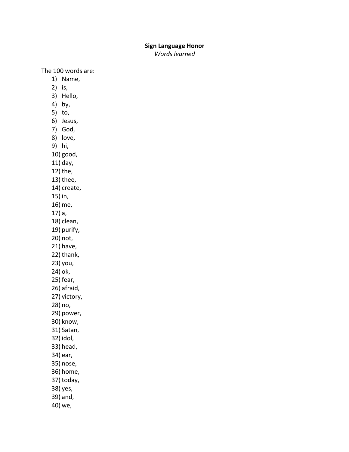## **Sign Language Honor**

*Words learned*

The 100 words are:

- 1) Name,
- 2) is,
- 3) Hello,
- 4) by,
- 5) to,
- 6) Jesus,
- 7) God,
- 8) love,
- 9) hi,
- 10) good,
- 11) day,
- 12) the,
- 13) thee,
- 14) create,
- 15) in,
- 16) me,
- 17) a,
- 18) clean,
- 19) purify,
- 20) not,
- 21) have,
- 22) thank,
- 23) you,
- 24) ok,
- 25) fear,
- 26) afraid, 27) victory,
- 28) no,
- 29) power,
- 30) know,
- 31) Satan,
- 32) idol,
- 33) head,
- 34) ear,
- 
- 35) nose,
- 36) home,
- 37) today,
- 38) yes,
- 39) and,
- 40) we,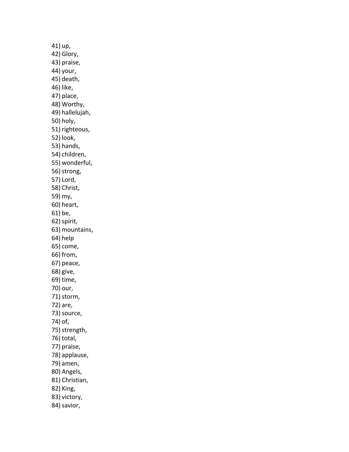41) up, 42) Glory, 43) praise, 44) your, 45) death, 46) like, 47) place, 48) Worthy, 49) hallelujah, 50) holy, 51) righteous, 52) look, 53) hands, 54) children, 55) wonderful, 56) strong, 57) Lord, 58) Christ, 59) my, 60) heart, 61) be, 62)spirit, 63) mountains, 64) help 65) come, 66) from, 67) peace, 68) give, 69) time, 70) our, 71) storm, 72) are, 73) source, 74) of, 75) strength, 76) total, 77) praise, 78) applause, 79) amen, 80) Angels, 81) Christian, 82) King, 83) victory, 84) savior,